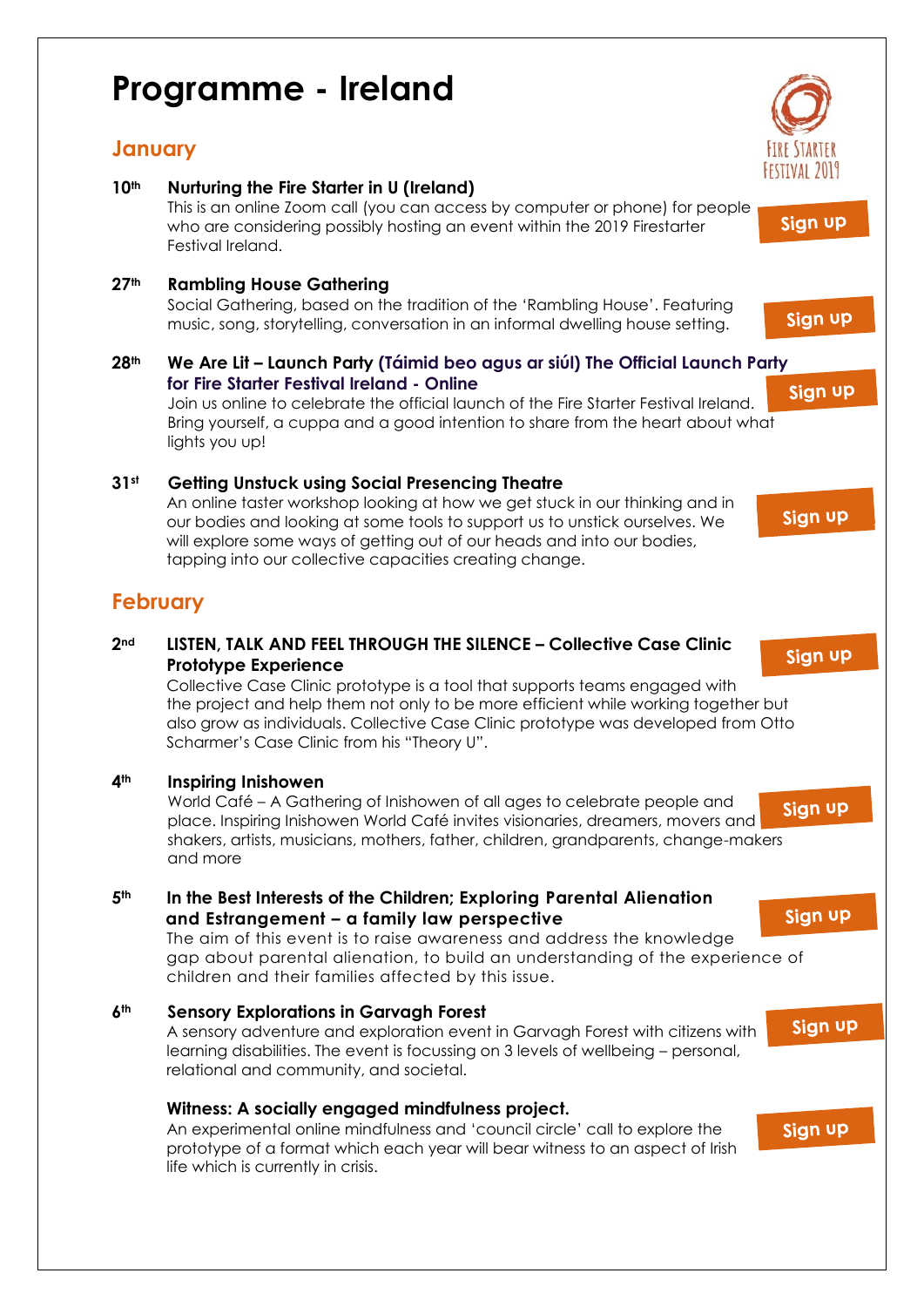## **Programme - Ireland**

life which is currently in crisis.

## **January**

**10th Nurturing the Fire Starter in U (Ireland)** This is an online Zoom call (you can access by computer or phone) for people Sign up who are considering possibly hosting an event within the 2019 Firestarter Festival Ireland. **27th Rambling House Gathering** Social Gathering, based on the tradition of the 'Rambling House'. Featuring Sign up music, song, storytelling, conversation in an informal dwelling house setting. **28th We Are Lit – Launch Party (Táimid beo agus ar siúl) The Official Launch P[arty](https://www.eventbrite.co.uk/e/we-are-lit-launch-party-taimid-beo-agus-ar-siul-the-official-launch-party-for-fire-starter-festival-tickets-55345967278)  for Fire Starter Festival Ireland - Online** Sign up Join us online to celebrate the official launch of the Fire Starter Festival Ireland. Bring yourself, a cuppa and a good intention to share from the heart about what lights you up! **31st Getting Unstuck using Social Presencing Theatre** An online taster workshop looking at how we get stuck in our thinking and in Sign up our bodies and looking at some tools to support us to unstick ourselves. We will explore some ways of getting out of our heads and into our bodies, tapping into our collective capacities creating change. **February 2nd LISTEN, TALK AND FEEL THROUGH THE SILENCE – Collective Case Clinic**  Sign up **Prototype Experience** Collective Case Clinic prototype is a tool that supports teams engaged with the project and help them not only to be more efficient while working together but also grow as individuals. Collective Case Clinic prototype was developed from Otto Scharmer's Case Clinic from his "Theory U". **4th Inspiring Inishowen** World Café – A Gathering of Inishowen of all ages to celebrate people and Sign up place. Inspiring Inishowen World Café invites visionaries, dreamers, movers and shakers, artists, musicians, mothers, father, children, grandparents, change-makers and more **5th In the Best Interests of the Children; Exploring Parental Alienation**  Sign up  **and Estrangement – a family law perspective** The aim of this event is to raise awareness and address the knowledge gap about parental alienation, to build an understanding of the experience of children and their families affected by this issue. **6th Sensory Explorations in Garvagh Forest**  Sign up A sensory adventure and exploration event in Garvagh Forest with citizens with learning disabilities. The event is focussing on 3 levels of wellbeing – personal, relational and community, and societal. **Witness: A socially engaged mindfulness project.** An experimental online mindfulness and 'council circle' call to explore the Sign up prototype of a format which each year will bear witness to an aspect of Irish